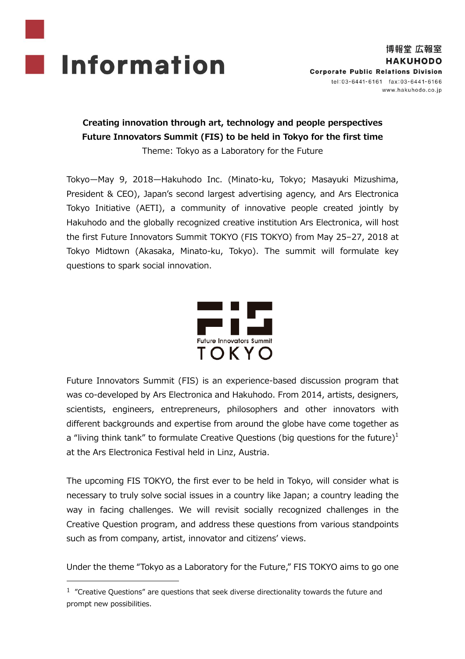

1

# **Creating innovation through art, technology and people perspectives Future Innovators Summit (FIS) to be held in Tokyo for the first time**

Theme: Tokyo as a Laboratory for the Future

Tokyo—May 9, 2018—Hakuhodo Inc. (Minato-ku, Tokyo; Masayuki Mizushima, President & CEO), Japan's second largest advertising agency, and Ars Electronica Tokyo Initiative (AETI), a community of innovative people created jointly by Hakuhodo and the globally recognized creative institution Ars Electronica, will host the first Future Innovators Summit TOKYO (FIS TOKYO) from May 25–27, 2018 at Tokyo Midtown (Akasaka, Minato-ku, Tokyo). The summit will formulate key questions to spark social innovation.



Future Innovators Summit (FIS) is an experience-based discussion program that was co-developed by Ars Electronica and Hakuhodo. From 2014, artists, designers, scientists, engineers, entrepreneurs, philosophers and other innovators with different backgrounds and expertise from around the globe have come together as a "living think tank" to formulate Creative Questions (big questions for the future) $<sup>1</sup>$ </sup> at the Ars Electronica Festival held in Linz, Austria.

The upcoming FIS TOKYO, the first ever to be held in Tokyo, will consider what is necessary to truly solve social issues in a country like Japan; a country leading the way in facing challenges. We will revisit socially recognized challenges in the Creative Question program, and address these questions from various standpoints such as from company, artist, innovator and citizens' views.

Under the theme "Tokyo as a Laboratory for the Future," FIS TOKYO aims to go one

 $1$  "Creative Questions" are questions that seek diverse directionality towards the future and prompt new possibilities.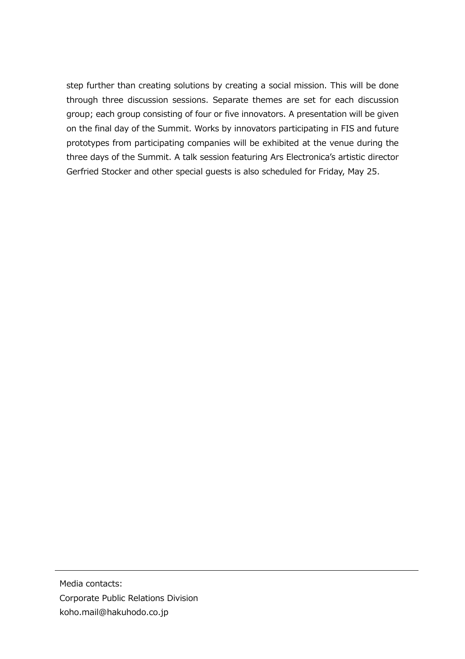step further than creating solutions by creating a social mission. This will be done through three discussion sessions. Separate themes are set for each discussion group; each group consisting of four or five innovators. A presentation will be given on the final day of the Summit. Works by innovators participating in FIS and future prototypes from participating companies will be exhibited at the venue during the three days of the Summit. A talk session featuring Ars Electronica's artistic director Gerfried Stocker and other special guests is also scheduled for Friday, May 25.

Media contacts: Corporate Public Relations Division koho.mail@hakuhodo.co.jp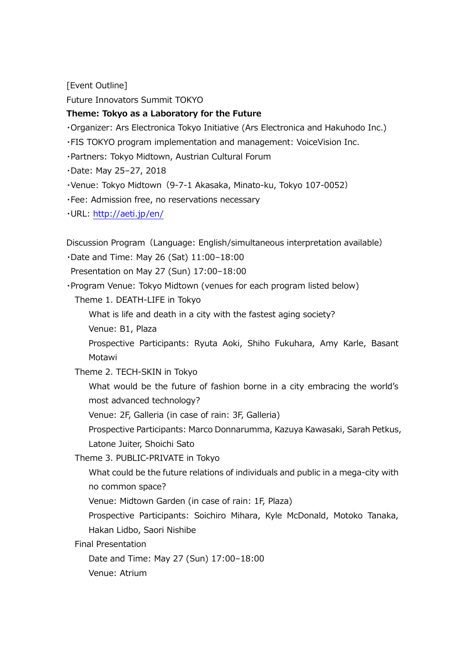[Event Outline]

Future Innovators Summit TOKYO

#### **Theme: Tokyo as a Laboratory for the Future**

・Organizer: Ars Electronica Tokyo Initiative (Ars Electronica and Hakuhodo Inc.)

・FIS TOKYO program implementation and management: VoiceVision Inc.

・Partners: Tokyo Midtown, Austrian Cultural Forum

・Date: May 25–27, 2018

・Venue: Tokyo Midtown(9-7-1 Akasaka, Minato-ku, Tokyo 107-0052)

・Fee: Admission free, no reservations necessary

・URL:<http://aeti.jp/en/>

Discussion Program(Language: English/simultaneous interpretation available)

・Date and Time: May 26 (Sat) 11:00–18:00

Presentation on May 27 (Sun) 17:00–18:00

・Program Venue: Tokyo Midtown (venues for each program listed below)

Theme 1. DEATH-LIFE in Tokyo

What is life and death in a city with the fastest aging society?

Venue: B1, Plaza

Prospective Participants: Ryuta Aoki, Shiho Fukuhara, Amy Karle, Basant Motawi

Theme 2. TECH-SKIN in Tokyo

What would be the future of fashion borne in a city embracing the world's most advanced technology?

Venue: 2F, Galleria (in case of rain: 3F, Galleria)

Prospective Participants: Marco Donnarumma, Kazuya Kawasaki, Sarah Petkus, Latone Juiter, Shoichi Sato

Theme 3. PUBLIC-PRIVATE in Tokyo

What could be the future relations of individuals and public in a mega-city with no common space?

Venue: Midtown Garden (in case of rain: 1F, Plaza)

Prospective Participants: Soichiro Mihara, Kyle McDonald, Motoko Tanaka, Hakan Lidbo, Saori Nishibe

Final Presentation

Date and Time: May 27 (Sun) 17:00–18:00

Venue: Atrium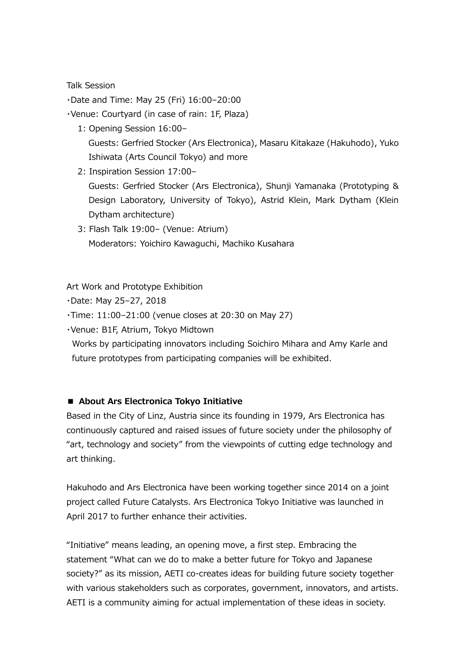#### Talk Session

・Date and Time: May 25 (Fri) 16:00–20:00

・Venue: Courtyard (in case of rain: 1F, Plaza)

- 1: Opening Session 16:00– Guests: Gerfried Stocker (Ars Electronica), Masaru Kitakaze (Hakuhodo), Yuko Ishiwata (Arts Council Tokyo) and more
- 2: Inspiration Session 17:00– Guests: Gerfried Stocker (Ars Electronica), Shunji Yamanaka (Prototyping & Design Laboratory, University of Tokyo), Astrid Klein, Mark Dytham (Klein Dytham architecture)
- 3: Flash Talk 19:00– (Venue: Atrium) Moderators: Yoichiro Kawaguchi, Machiko Kusahara

Art Work and Prototype Exhibition

・Date: May 25–27, 2018

・Time: 11:00–21:00 (venue closes at 20:30 on May 27)

・Venue: B1F, Atrium, Tokyo Midtown

Works by participating innovators including Soichiro Mihara and Amy Karle and future prototypes from participating companies will be exhibited.

### **■ About Ars Electronica Tokyo Initiative**

Based in the City of Linz, Austria since its founding in 1979, Ars Electronica has continuously captured and raised issues of future society under the philosophy of "art, technology and society" from the viewpoints of cutting edge technology and art thinking.

Hakuhodo and Ars Electronica have been working together since 2014 on a joint project called Future Catalysts. Ars Electronica Tokyo Initiative was launched in April 2017 to further enhance their activities.

"Initiative" means leading, an opening move, a first step. Embracing the statement "What can we do to make a better future for Tokyo and Japanese society?" as its mission, AETI co-creates ideas for building future society together with various stakeholders such as corporates, government, innovators, and artists. AETI is a community aiming for actual implementation of these ideas in society.